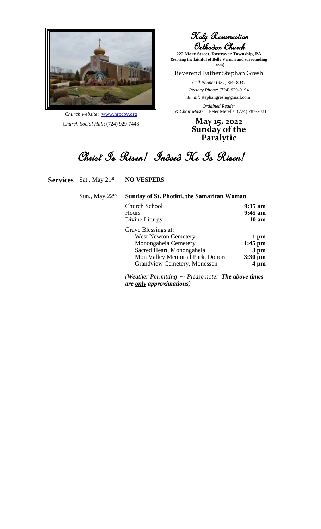

*Church website*: [www.hrocbv.org](http://www.hrocbv.org/) *Church Social Hall*: (724) 929-7448

Holy Resurrection Orthodox Church

**222 Mary Street, Rostraver Township, PA (Serving the faithful of Belle Vernon and surrounding areas)**

#### Reverend Father Stephan Gresh

*Cell Phone:* (937) 869-8037 *Rectory Phone*: (724) 929-9194 *Email*: stephangresh@gmail.com

*Ordained Reader & Choir Master*: Peter Merella: (724) 787-2031

> **May 15, 2022 Sunday of the Paralytic**

Christ Is Risen! Indeed He Is Risen!

**Services** Sat., May 21<sup>st</sup> **NO VESPERS** 

|  | Sun., May 22 <sup>nd</sup> Sunday of St. Photini, the Samaritan Woman |                   |
|--|-----------------------------------------------------------------------|-------------------|
|  | Church School                                                         | $9:15 \text{ am}$ |
|  |                                                                       | 0.45 cm           |

| Hours                            | $9:45$ am       |
|----------------------------------|-----------------|
| Divine Liturgy                   | $10 \text{ am}$ |
| Grave Blessings at:              |                 |
| <b>West Newton Cemetery</b>      | 1 pm            |
| Monongahela Cemetery             | $1:45$ pm       |
| Sacred Heart, Monongahela        | 3 pm            |
| Mon Valley Memorial Park, Donora | $3:30$ pm       |
| Grandview Cemetery, Monessen     | 4 pm            |

*(Weather Permitting ~~ Please note: The above times are only approximations)*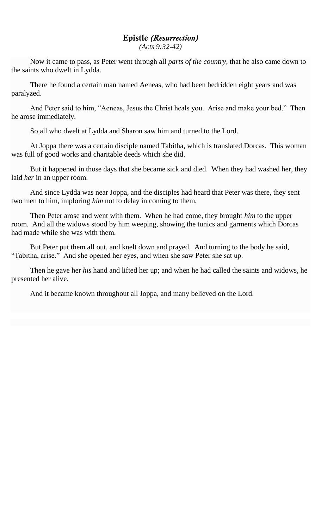### Epistle *(Resurrection)*

*(Acts 9:32-42)*

Now it came to pass, as Peter went through all *parts of the country*, that he also came down to the saints who dwelt in Lydda.

There he found a certain man named Aeneas, who had been bedridden eight years and was paralyzed.

And Peter said to him, "Aeneas, Jesus the Christ heals you. Arise and make your bed." Then he arose immediately.

So all who dwelt at Lydda and Sharon saw him and turned to the Lord.

At Joppa there was a certain disciple named Tabitha, which is translated Dorcas. This woman was full of good works and charitable deeds which she did.

But it happened in those days that she became sick and died. When they had washed her, they laid *her* in an upper room.

And since Lydda was near Joppa, and the disciples had heard that Peter was there, they sent two men to him, imploring *him* not to delay in coming to them.

Then Peter arose and went with them. When he had come, they brought *him* to the upper room. And all the widows stood by him weeping, showing the tunics and garments which Dorcas had made while she was with them.

But Peter put them all out, and knelt down and prayed. And turning to the body he said, "Tabitha, arise." And she opened her eyes, and when she saw Peter she sat up.

Then he gave her *his* hand and lifted her up; and when he had called the saints and widows, he presented her alive.

And it became known throughout all Joppa, and many believed on the Lord.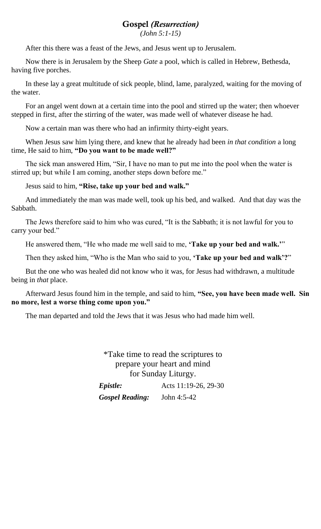# Gospel *(Resurrection)*

*(John 5:1-15)*

After this there was a feast of the Jews, and Jesus went up to Jerusalem.

Now there is in Jerusalem by the Sheep *Gate* a pool, which is called in Hebrew, Bethesda, having five porches.

In these lay a great multitude of sick people, blind, lame, paralyzed, waiting for the moving of the water.

For an angel went down at a certain time into the pool and stirred up the water; then whoever stepped in first, after the stirring of the water, was made well of whatever disease he had.

Now a certain man was there who had an infirmity thirty-eight years.

When Jesus saw him lying there, and knew that he already had been *in that condition* a long time, He said to him, **"Do you want to be made well?"**

The sick man answered Him, "Sir, I have no man to put me into the pool when the water is stirred up; but while I am coming, another steps down before me."

Jesus said to him, **"Rise, take up your bed and walk."**

And immediately the man was made well, took up his bed, and walked. And that day was the Sabbath.

The Jews therefore said to him who was cured, "It is the Sabbath; it is not lawful for you to carry your bed."

He answered them, "He who made me well said to me, **'Take up your bed and walk.'**"

Then they asked him, "Who is the Man who said to you, **'Take up your bed and walk'?**"

But the one who was healed did not know who it was, for Jesus had withdrawn, a multitude being in *that* place.

Afterward Jesus found him in the temple, and said to him, **"See, you have been made well. Sin no more, lest a worse thing come upon you."**

The man departed and told the Jews that it was Jesus who had made him well.

\*Take time to read the scriptures to prepare your heart and mind for Sunday Liturgy.

| <i><b>Epistle:</b></i> | Acts 11:19-26, 29-30 |
|------------------------|----------------------|
| <b>Gospel Reading:</b> | John $4:5-42$        |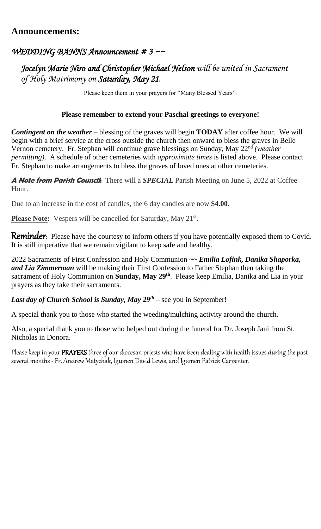# **Announcements:**

# *WEDDING BANNS Announcement # 3 ~~*

# *Jocelyn Marie Niro and Christopher Michael Nelson will be united in Sacrament of Holy Matrimony on Saturday, May 21.*

Please keep them in your prayers for "Many Blessed Years".

### **Please remember to extend your Paschal greetings to everyone!**

*Contingent on the weather* – blessing of the graves will begin **TODAY** after coffee hour. We will begin with a brief service at the cross outside the church then onward to bless the graves in Belle Vernon cemetery. Fr. Stephan will continue grave blessings on Sunday, May 22nd *(weather permitting)*. A schedule of other cemeteries with *approximate times* is listed above. Please contact Fr. Stephan to make arrangements to bless the graves of loved ones at other cemeteries.

**A Note from Parish Council:** There will a *SPECIAL* Parish Meeting on June 5, 2022 at Coffee Hour.

Due to an increase in the cost of candles, the 6 day candles are now **\$4.00**.

Please Note: Vespers will be cancelled for Saturday, May 21<sup>st</sup>.

**Reminder**: Please have the courtesy to inform others if you have potentially exposed them to Covid. It is still imperative that we remain vigilant to keep safe and healthy.

2022 Sacraments of First Confession and Holy Communion ~~ *Emilia Lofink, Danika Shaporka, and Lia Zimmerman* will be making their First Confession to Father Stephan then taking the sacrament of Holy Communion on **Sunday, May 29th** . Please keep Emilia, Danika and Lia in your prayers as they take their sacraments.

#### *Last day of Church School is Sunday, May 29th* – see you in September!

A special thank you to those who started the weeding/mulching activity around the church.

Also, a special thank you to those who helped out during the funeral for Dr. Joseph Jani from St. Nicholas in Donora.

Please keep in your PRAYERS three of our diocesan priests who have been dealing with health issues during the past several months -Fr. Andrew Matychak, Igumen David Lewis, and Igumen Patrick Carpenter.